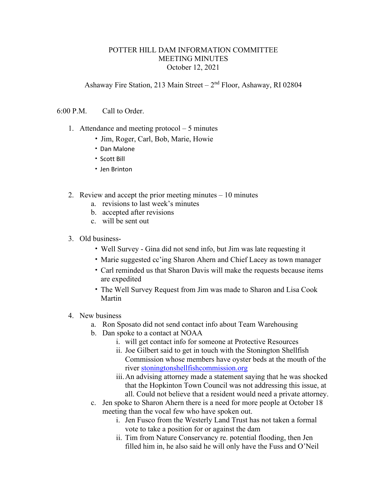## POTTER HILL DAM INFORMATION COMMITTEE MEETING MINUTES October 12, 2021

Ashaway Fire Station, 213 Main Street –  $2<sup>nd</sup>$  Floor, Ashaway, RI 02804

## 6:00 P.M. Call to Order.

- 1. Attendance and meeting protocol 5 minutes
	- Jim, Roger, Carl, Bob, Marie, Howie
	- Dan Malone
	- Scott Bill
	- Jen Brinton
- 2. Review and accept the prior meeting minutes 10 minutes
	- a. revisions to last week's minutes
	- b. accepted after revisions
	- c. will be sent out
- 3. Old business-
	- Well Survey Gina did not send info, but Jim was late requesting it
	- Marie suggested cc'ing Sharon Ahern and Chief Lacey as town manager
	- Carl reminded us that Sharon Davis will make the requests because items are expedited
	- The Well Survey Request from Jim was made to Sharon and Lisa Cook Martin
- 4. New business
	- a. Ron Sposato did not send contact info about Team Warehousing
	- b. Dan spoke to a contact at NOAA
		- i. will get contact info for someone at Protective Resources
		- ii. Joe Gilbert said to get in touch with the Stonington Shellfish Commission whose members have oyster beds at the mouth of the river [stoningtonshellfishcommission.org](http://stoningtonshellfishcommission.org/)
		- iii.An advising attorney made a statement saying that he was shocked that the Hopkinton Town Council was not addressing this issue, at all. Could not believe that a resident would need a private attorney.
	- c. Jen spoke to Sharon Ahern there is a need for more people at October 18 meeting than the vocal few who have spoken out.
		- i. Jen Fusco from the Westerly Land Trust has not taken a formal vote to take a position for or against the dam
		- ii. Tim from Nature Conservancy re. potential flooding, then Jen filled him in, he also said he will only have the Fuss and O'Neil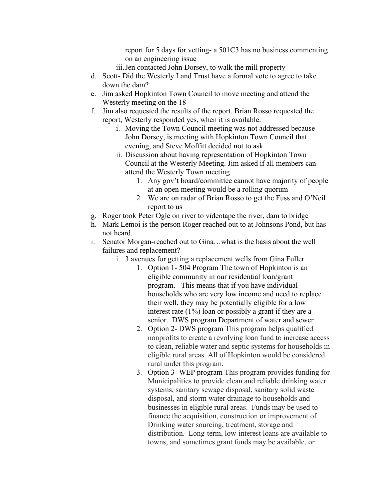report for 5 days for vetting- a 501C3 has no business commenting on an engineering issue

- iii.Jen contacted John Dorsey, to walk the mill property
- d. Scott- Did the Westerly Land Trust have a formal vote to agree to take down the dam?
- e. Jim asked Hopkinton Town Council to move meeting and attend the Westerly meeting on the 18
- f. Jim also requested the results of the report. Brian Rosso requested the report, Westerly responded yes, when it is available.
	- i. Moving the Town Council meeting was not addressed because John Dorsey, is meeting with Hopkinton Town Council that evening, and Steve Moffitt decided not to ask.
	- ii. Discussion about having representation of Hopkinton Town Council at the Westerly Meeting. Jim asked if all members can attend the Westerly Town meeting
		- 1. Any gov't board/committee cannot have majority of people at an open meeting would be a rolling quorum
		- 2. We are on radar of Brian Rosso to get the Fuss and O'Neil report to us
- g. Roger took Peter Ogle on river to videotape the river, dam to bridge
- h. Mark Lemoi is the person Roger reached out to at Johnsons Pond, but has not heard.
- i. Senator Morgan-reached out to Gina…what is the basis about the well failures and replacement?
	- i. 3 avenues for getting a replacement wells from Gina Fuller
		- 1. Option 1- 504 Program The town of Hopkinton is an eligible community in our residential loan/grant program. This means that if you have individual households who are very low income and need to replace their well, they may be potentially eligible for a low interest rate (1%) loan or possibly a grant if they are a senior. DWS program Department of water and sewer
		- 2. Option 2- DWS program This program helps qualified nonprofits to create a revolving loan fund to increase access to clean, reliable water and septic systems for households in eligible rural areas. All of Hopkinton would be considered rural under this program.
		- 3. Option 3- WEP program This program provides funding for Municipalities to provide clean and reliable drinking water systems, sanitary sewage disposal, sanitary solid waste disposal, and storm water drainage to households and businesses in eligible rural areas. Funds may be used to finance the acquisition, construction or improvement of Drinking water sourcing, treatment, storage and distribution. Long-term, low-interest loans are available to towns, and sometimes grant funds may be available, or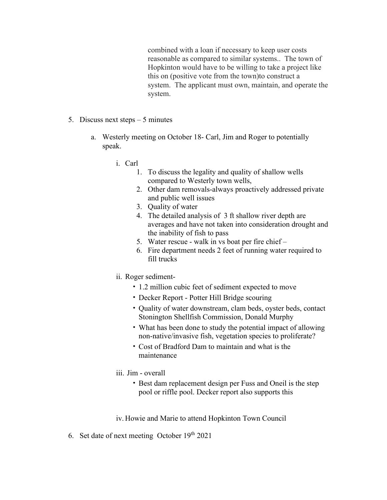combined with a loan if necessary to keep user costs reasonable as compared to similar systems.. The town of Hopkinton would have to be willing to take a project like this on (positive vote from the town)to construct a system. The applicant must own, maintain, and operate the system.

- 5. Discuss next steps 5 minutes
	- a. Westerly meeting on October 18- Carl, Jim and Roger to potentially speak.
		- i. Carl
			- 1. To discuss the legality and quality of shallow wells compared to Westerly town wells,
			- 2. Other dam removals-always proactively addressed private and public well issues
			- 3. Quality of water
			- 4. The detailed analysis of 3 ft shallow river depth are averages and have not taken into consideration drought and the inability of fish to pass
			- 5. Water rescue walk in vs boat per fire chief –
			- 6. Fire department needs 2 feet of running water required to fill trucks
		- ii. Roger sediment-
			- 1.2 million cubic feet of sediment expected to move
			- Decker Report Potter Hill Bridge scouring
			- Quality of water downstream, clam beds, oyster beds, contact Stonington Shellfish Commission, Donald Murphy
			- What has been done to study the potential impact of allowing non-native/invasive fish, vegetation species to proliferate?
			- Cost of Bradford Dam to maintain and what is the maintenance
		- iii. Jim overall
			- Best dam replacement design per Fuss and Oneil is the step pool or riffle pool. Decker report also supports this

iv. Howie and Marie to attend Hopkinton Town Council

6. Set date of next meeting October  $19<sup>th</sup> 2021$